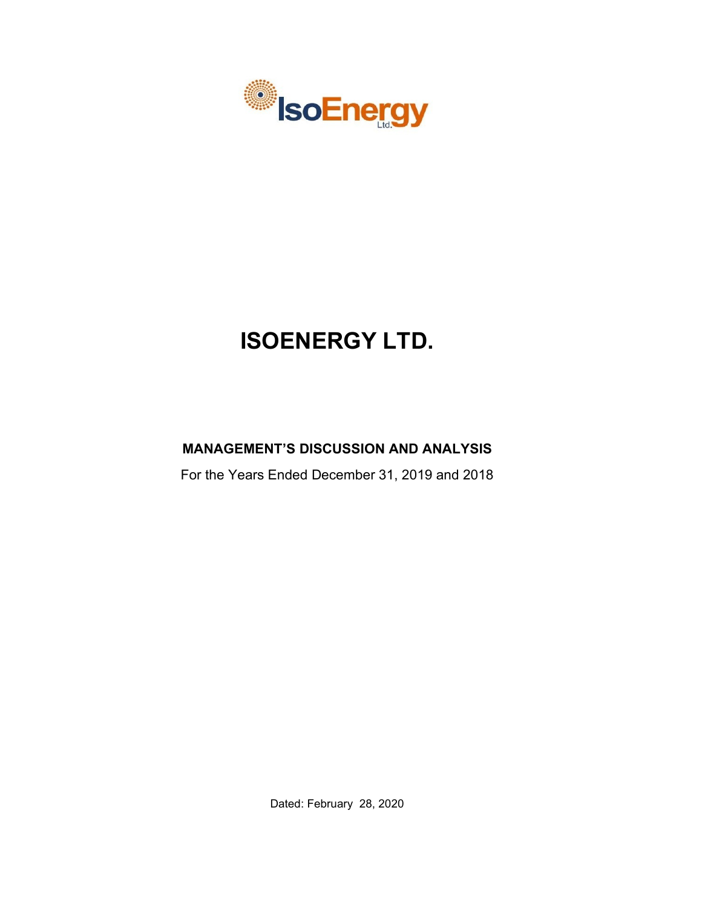

# **ISOENERGY LTD.**

# **MANAGEMENT'S DISCUSSION AND ANALYSIS**

For the Years Ended December 31, 2019 and 2018

Dated: February 28, 2020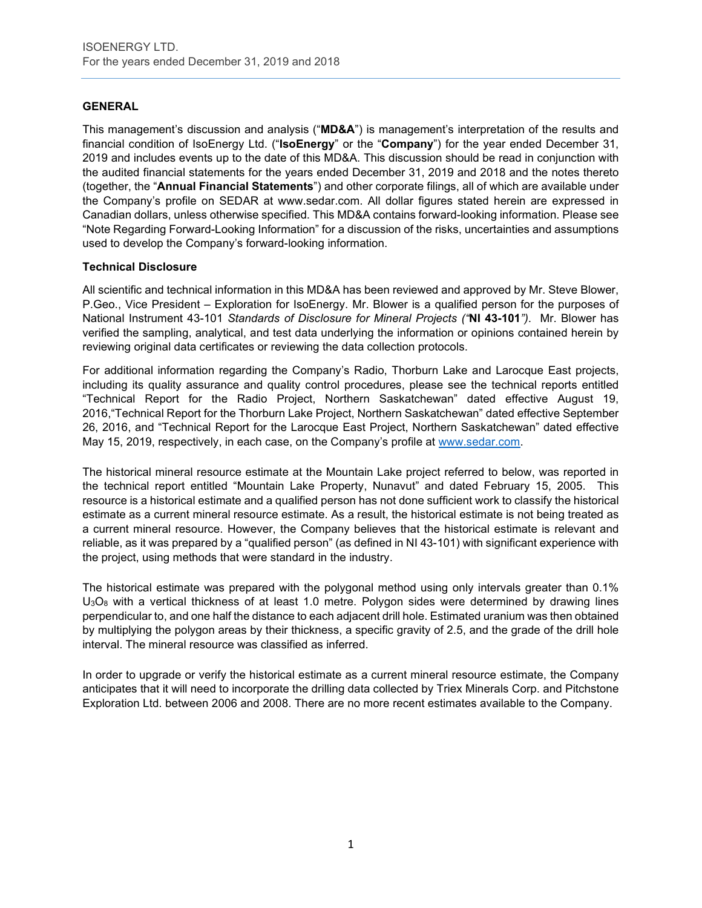# **GENERAL**

This management's discussion and analysis ("**MD&A**") is management's interpretation of the results and financial condition of IsoEnergy Ltd. ("**IsoEnergy**" or the "**Company**") for the year ended December 31, 2019 and includes events up to the date of this MD&A. This discussion should be read in conjunction with the audited financial statements for the years ended December 31, 2019 and 2018 and the notes thereto (together, the "**Annual Financial Statements**") and other corporate filings, all of which are available under the Company's profile on SEDAR at www.sedar.com. All dollar figures stated herein are expressed in Canadian dollars, unless otherwise specified. This MD&A contains forward-looking information. Please see "Note Regarding Forward-Looking Information" for a discussion of the risks, uncertainties and assumptions used to develop the Company's forward-looking information.

# **Technical Disclosure**

All scientific and technical information in this MD&A has been reviewed and approved by Mr. Steve Blower, P.Geo., Vice President – Exploration for IsoEnergy. Mr. Blower is a qualified person for the purposes of National Instrument 43-101 *Standards of Disclosure for Mineral Projects ("***NI 43-101***")*. Mr. Blower has verified the sampling, analytical, and test data underlying the information or opinions contained herein by reviewing original data certificates or reviewing the data collection protocols.

For additional information regarding the Company's Radio, Thorburn Lake and Larocque East projects, including its quality assurance and quality control procedures, please see the technical reports entitled "Technical Report for the Radio Project, Northern Saskatchewan" dated effective August 19, 2016,"Technical Report for the Thorburn Lake Project, Northern Saskatchewan" dated effective September 26, 2016, and "Technical Report for the Larocque East Project, Northern Saskatchewan" dated effective May 15, 2019, respectively, in each case, on the Company's profile at [www.sedar.com.](http://www.sedar.com/)

The historical mineral resource estimate at the Mountain Lake project referred to below, was reported in the technical report entitled "Mountain Lake Property, Nunavut" and dated February 15, 2005. This resource is a historical estimate and a qualified person has not done sufficient work to classify the historical estimate as a current mineral resource estimate. As a result, the historical estimate is not being treated as a current mineral resource. However, the Company believes that the historical estimate is relevant and reliable, as it was prepared by a "qualified person" (as defined in NI 43-101) with significant experience with the project, using methods that were standard in the industry.

The historical estimate was prepared with the polygonal method using only intervals greater than 0.1%  $U<sub>3</sub>O<sub>8</sub>$  with a vertical thickness of at least 1.0 metre. Polygon sides were determined by drawing lines perpendicular to, and one half the distance to each adjacent drill hole. Estimated uranium was then obtained by multiplying the polygon areas by their thickness, a specific gravity of 2.5, and the grade of the drill hole interval. The mineral resource was classified as inferred.

In order to upgrade or verify the historical estimate as a current mineral resource estimate, the Company anticipates that it will need to incorporate the drilling data collected by Triex Minerals Corp. and Pitchstone Exploration Ltd. between 2006 and 2008. There are no more recent estimates available to the Company.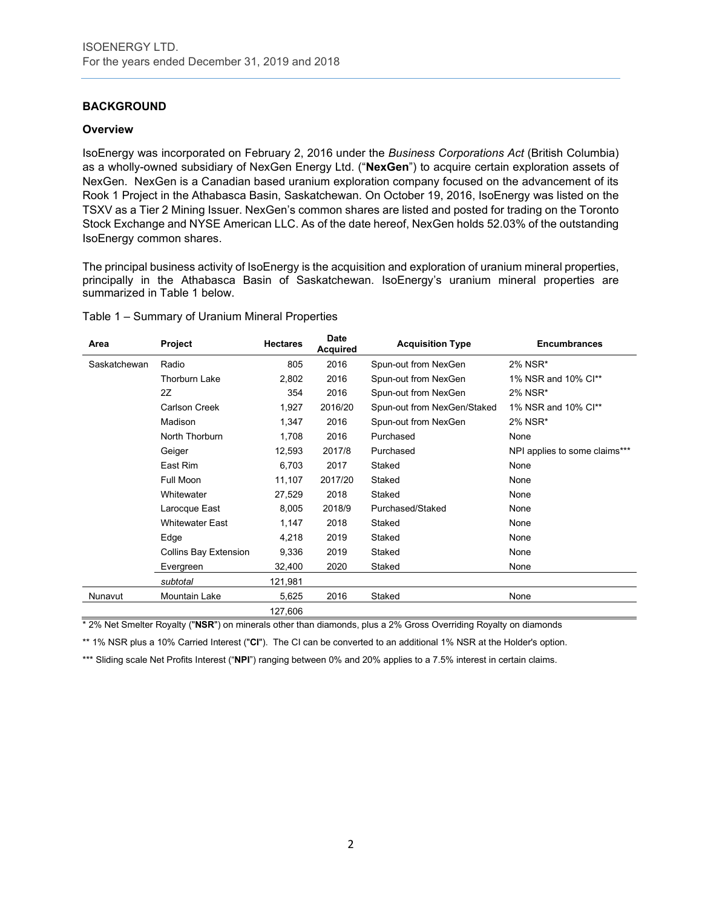# **BACKGROUND**

#### **Overview**

IsoEnergy was incorporated on February 2, 2016 under the *Business Corporations Act* (British Columbia) as a wholly-owned subsidiary of NexGen Energy Ltd. ("**NexGen**") to acquire certain exploration assets of NexGen. NexGen is a Canadian based uranium exploration company focused on the advancement of its Rook 1 Project in the Athabasca Basin, Saskatchewan. On October 19, 2016, IsoEnergy was listed on the TSXV as a Tier 2 Mining Issuer. NexGen's common shares are listed and posted for trading on the Toronto Stock Exchange and NYSE American LLC. As of the date hereof, NexGen holds 52.03% of the outstanding IsoEnergy common shares.

The principal business activity of IsoEnergy is the acquisition and exploration of uranium mineral properties, principally in the Athabasca Basin of Saskatchewan. IsoEnergy's uranium mineral properties are summarized in Table 1 below.

| Table 1 - Summary of Uranium Mineral Properties |  |  |  |
|-------------------------------------------------|--|--|--|
|-------------------------------------------------|--|--|--|

| Area         | Project                | <b>Hectares</b> | <b>Date</b><br><b>Acquired</b> | <b>Acquisition Type</b>     | <b>Encumbrances</b>           |
|--------------|------------------------|-----------------|--------------------------------|-----------------------------|-------------------------------|
| Saskatchewan | Radio                  | 805             | 2016                           | Spun-out from NexGen        | 2% NSR*                       |
|              | <b>Thorburn Lake</b>   | 2,802           | 2016                           | Spun-out from NexGen        | 1% NSR and 10% Cl**           |
|              | 2Z                     | 354             | 2016                           | Spun-out from NexGen        | 2% NSR*                       |
|              | Carlson Creek          | 1,927           | 2016/20                        | Spun-out from NexGen/Staked | 1% NSR and 10% Cl**           |
|              | Madison                | 1,347           | 2016                           | Spun-out from NexGen        | 2% NSR*                       |
|              | North Thorburn         | 1,708           | 2016                           | Purchased                   | None                          |
|              | Geiger                 | 12,593          | 2017/8                         | Purchased                   | NPI applies to some claims*** |
|              | East Rim               | 6,703           | 2017                           | Staked                      | None                          |
|              | Full Moon              | 11,107          | 2017/20                        | Staked                      | None                          |
|              | Whitewater             | 27,529          | 2018                           | Staked                      | None                          |
|              | Larocque East          | 8,005           | 2018/9                         | Purchased/Staked            | None                          |
|              | <b>Whitewater East</b> | 1,147           | 2018                           | Staked                      | None                          |
|              | Edge                   | 4,218           | 2019                           | Staked                      | None                          |
|              | Collins Bay Extension  | 9,336           | 2019                           | Staked                      | None                          |
|              | Evergreen              | 32,400          | 2020                           | Staked                      | None                          |
|              | subtotal               | 121,981         |                                |                             |                               |
| Nunavut      | Mountain Lake          | 5,625           | 2016                           | Staked                      | None                          |
|              |                        | 127,606         |                                |                             |                               |

\* 2% Net Smelter Royalty ("**NSR**") on minerals other than diamonds, plus a 2% Gross Overriding Royalty on diamonds

\*\* 1% NSR plus a 10% Carried Interest ("**CI**"). The CI can be converted to an additional 1% NSR at the Holder's option.

\*\*\* Sliding scale Net Profits Interest ("NPI") ranging between 0% and 20% applies to a 7.5% interest in certain claims.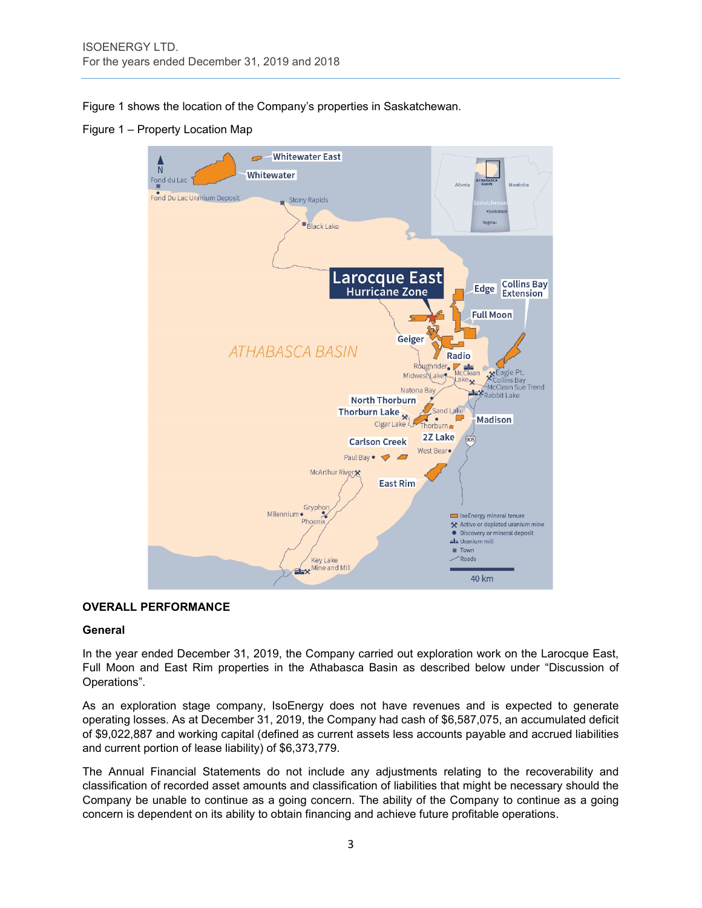Figure 1 shows the location of the Company's properties in Saskatchewan.

Figure 1 – Property Location Map



# **OVERALL PERFORMANCE**

#### **General**

In the year ended December 31, 2019, the Company carried out exploration work on the Larocque East, Full Moon and East Rim properties in the Athabasca Basin as described below under "Discussion of Operations".

As an exploration stage company, IsoEnergy does not have revenues and is expected to generate operating losses. As at December 31, 2019, the Company had cash of \$6,587,075, an accumulated deficit of \$9,022,887 and working capital (defined as current assets less accounts payable and accrued liabilities and current portion of lease liability) of \$6,373,779.

The Annual Financial Statements do not include any adjustments relating to the recoverability and classification of recorded asset amounts and classification of liabilities that might be necessary should the Company be unable to continue as a going concern. The ability of the Company to continue as a going concern is dependent on its ability to obtain financing and achieve future profitable operations.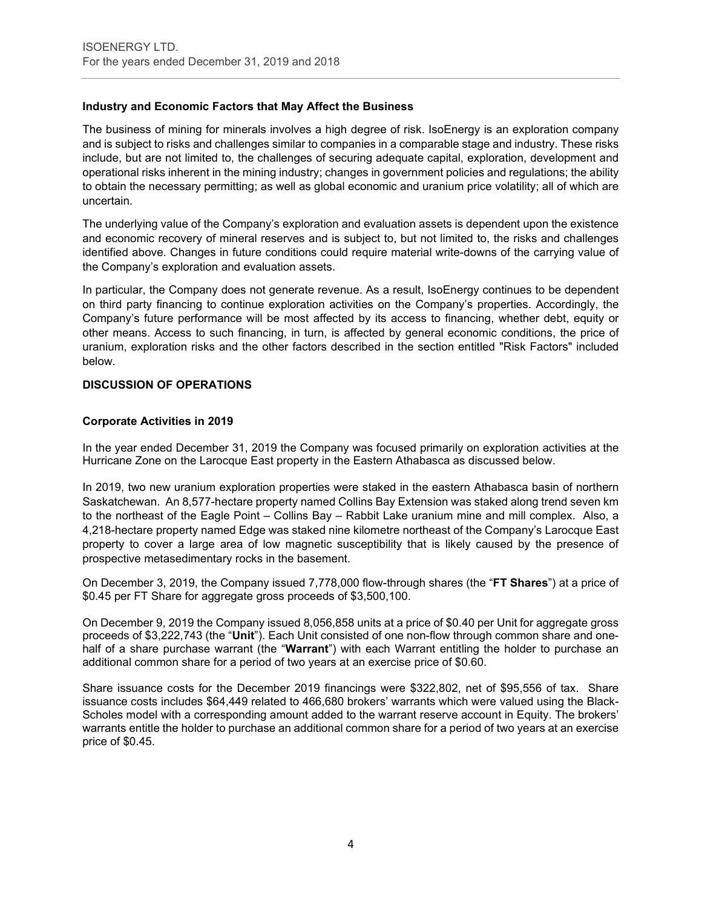# **Industry and Economic Factors that May Affect the Business**

The business of mining for minerals involves a high degree of risk. IsoEnergy is an exploration company and is subject to risks and challenges similar to companies in a comparable stage and industry. These risks include, but are not limited to, the challenges of securing adequate capital, exploration, development and operational risks inherent in the mining industry; changes in government policies and regulations; the ability to obtain the necessary permitting; as well as global economic and uranium price volatility; all of which are uncertain.

The underlying value of the Company's exploration and evaluation assets is dependent upon the existence and economic recovery of mineral reserves and is subject to, but not limited to, the risks and challenges identified above. Changes in future conditions could require material write-downs of the carrying value of the Company's exploration and evaluation assets.

In particular, the Company does not generate revenue. As a result, IsoEnergy continues to be dependent on third party financing to continue exploration activities on the Company's properties. Accordingly, the Company's future performance will be most affected by its access to financing, whether debt, equity or other means. Access to such financing, in turn, is affected by general economic conditions, the price of uranium, exploration risks and the other factors described in the section entitled "Risk Factors" included below.

# **DISCUSSION OF OPERATIONS**

### **Corporate Activities in 2019**

In the year ended December 31, 2019 the Company was focused primarily on exploration activities at the Hurricane Zone on the Larocque East property in the Eastern Athabasca as discussed below.

In 2019, two new uranium exploration properties were staked in the eastern Athabasca basin of northern Saskatchewan. An 8,577-hectare property named Collins Bay Extension was staked along trend seven km to the northeast of the Eagle Point – Collins Bay – Rabbit Lake uranium mine and mill complex. Also, a 4,218-hectare property named Edge was staked nine kilometre northeast of the Company's Larocque East property to cover a large area of low magnetic susceptibility that is likely caused by the presence of prospective metasedimentary rocks in the basement.

On December 3, 2019, the Company issued 7,778,000 flow-through shares (the "**FT Shares**") at a price of \$0.45 per FT Share for aggregate gross proceeds of \$3,500,100.

On December 9, 2019 the Company issued 8,056,858 units at a price of \$0.40 per Unit for aggregate gross proceeds of \$3,222,743 (the "**Unit**"). Each Unit consisted of one non-flow through common share and onehalf of a share purchase warrant (the "**Warrant**") with each Warrant entitling the holder to purchase an additional common share for a period of two years at an exercise price of \$0.60.

Share issuance costs for the December 2019 financings were \$322,802, net of \$95,556 of tax. Share issuance costs includes \$64,449 related to 466,680 brokers' warrants which were valued using the Black-Scholes model with a corresponding amount added to the warrant reserve account in Equity. The brokers' warrants entitle the holder to purchase an additional common share for a period of two years at an exercise price of \$0.45.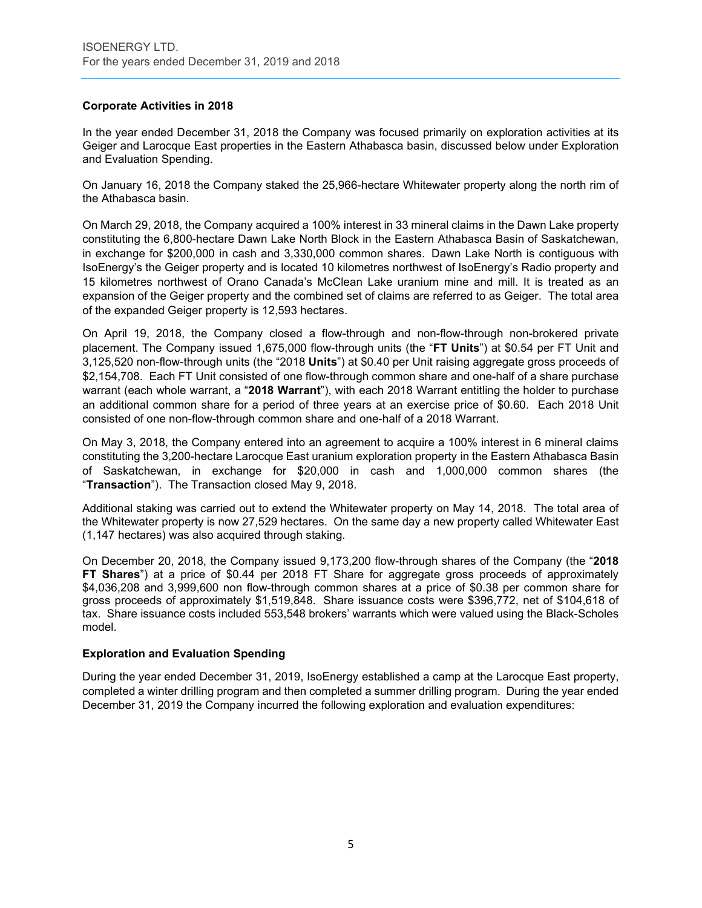# **Corporate Activities in 2018**

In the year ended December 31, 2018 the Company was focused primarily on exploration activities at its Geiger and Larocque East properties in the Eastern Athabasca basin, discussed below under Exploration and Evaluation Spending.

On January 16, 2018 the Company staked the 25,966-hectare Whitewater property along the north rim of the Athabasca basin.

On March 29, 2018, the Company acquired a 100% interest in 33 mineral claims in the Dawn Lake property constituting the 6,800-hectare Dawn Lake North Block in the Eastern Athabasca Basin of Saskatchewan, in exchange for \$200,000 in cash and 3,330,000 common shares. Dawn Lake North is contiguous with IsoEnergy's the Geiger property and is located 10 kilometres northwest of IsoEnergy's Radio property and 15 kilometres northwest of Orano Canada's McClean Lake uranium mine and mill. It is treated as an expansion of the Geiger property and the combined set of claims are referred to as Geiger. The total area of the expanded Geiger property is 12,593 hectares.

On April 19, 2018, the Company closed a flow-through and non-flow-through non-brokered private placement. The Company issued 1,675,000 flow-through units (the "**FT Units**") at \$0.54 per FT Unit and 3,125,520 non-flow-through units (the "2018 **Units**") at \$0.40 per Unit raising aggregate gross proceeds of \$2,154,708. Each FT Unit consisted of one flow-through common share and one-half of a share purchase warrant (each whole warrant, a "**2018 Warrant**"), with each 2018 Warrant entitling the holder to purchase an additional common share for a period of three years at an exercise price of \$0.60. Each 2018 Unit consisted of one non-flow-through common share and one-half of a 2018 Warrant.

On May 3, 2018, the Company entered into an agreement to acquire a 100% interest in 6 mineral claims constituting the 3,200-hectare Larocque East uranium exploration property in the Eastern Athabasca Basin of Saskatchewan, in exchange for \$20,000 in cash and 1,000,000 common shares (the "**Transaction**"). The Transaction closed May 9, 2018.

Additional staking was carried out to extend the Whitewater property on May 14, 2018. The total area of the Whitewater property is now 27,529 hectares. On the same day a new property called Whitewater East (1,147 hectares) was also acquired through staking.

On December 20, 2018, the Company issued 9,173,200 flow-through shares of the Company (the "**2018 FT Shares**") at a price of \$0.44 per 2018 FT Share for aggregate gross proceeds of approximately \$4,036,208 and 3,999,600 non flow-through common shares at a price of \$0.38 per common share for gross proceeds of approximately \$1,519,848. Share issuance costs were \$396,772, net of \$104,618 of tax. Share issuance costs included 553,548 brokers' warrants which were valued using the Black-Scholes model.

#### **Exploration and Evaluation Spending**

During the year ended December 31, 2019, IsoEnergy established a camp at the Larocque East property, completed a winter drilling program and then completed a summer drilling program. During the year ended December 31, 2019 the Company incurred the following exploration and evaluation expenditures: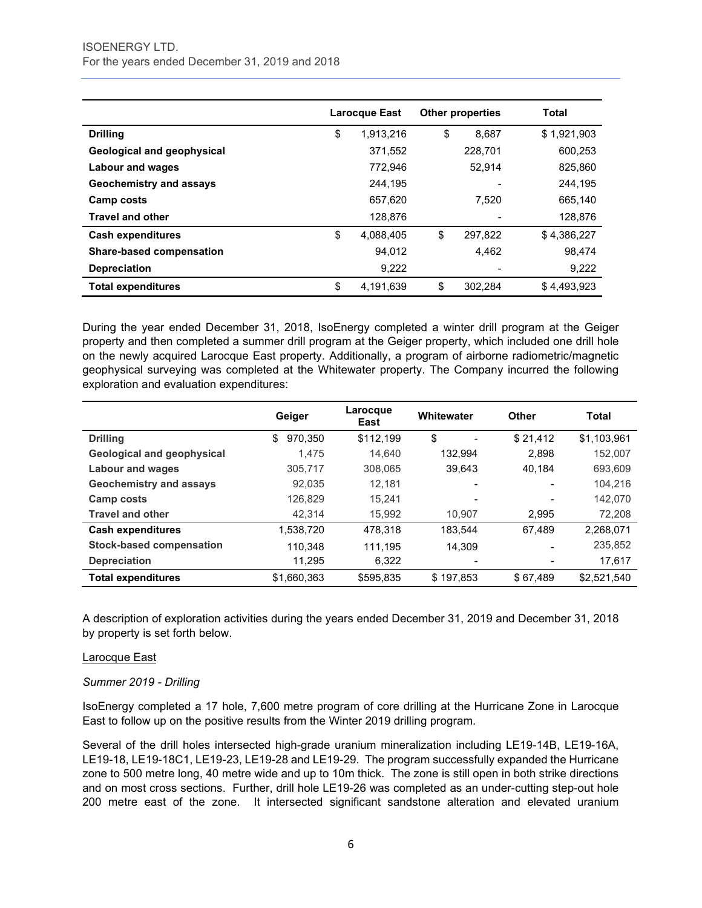|                                   | <b>Larocque East</b> |           | <b>Other properties</b> | Total       |
|-----------------------------------|----------------------|-----------|-------------------------|-------------|
| <b>Drilling</b>                   | \$                   | 1.913.216 | \$<br>8.687             | \$1,921,903 |
| <b>Geological and geophysical</b> |                      | 371.552   | 228.701                 | 600.253     |
| Labour and wages                  |                      | 772,946   | 52.914                  | 825,860     |
| Geochemistry and assays           |                      | 244,195   |                         | 244.195     |
| Camp costs                        |                      | 657,620   | 7.520                   | 665,140     |
| <b>Travel and other</b>           |                      | 128,876   |                         | 128,876     |
| <b>Cash expenditures</b>          | \$                   | 4,088,405 | \$<br>297.822           | \$4,386,227 |
| <b>Share-based compensation</b>   |                      | 94.012    | 4,462                   | 98.474      |
| <b>Depreciation</b>               |                      | 9,222     |                         | 9,222       |
| <b>Total expenditures</b>         | \$                   | 4,191,639 | \$<br>302,284           | \$4,493,923 |

During the year ended December 31, 2018, IsoEnergy completed a winter drill program at the Geiger property and then completed a summer drill program at the Geiger property, which included one drill hole on the newly acquired Larocque East property. Additionally, a program of airborne radiometric/magnetic geophysical surveying was completed at the Whitewater property. The Company incurred the following exploration and evaluation expenditures:

|                                   | Geiger        | Larocque<br>East | Whitewater               | <b>Other</b>             | <b>Total</b> |
|-----------------------------------|---------------|------------------|--------------------------|--------------------------|--------------|
| <b>Drilling</b>                   | \$<br>970,350 | \$112,199        | \$                       | \$21.412                 | \$1,103,961  |
| <b>Geological and geophysical</b> | 1.475         | 14.640           | 132.994                  | 2.898                    | 152,007      |
| <b>Labour and wages</b>           | 305,717       | 308,065          | 39.643                   | 40.184                   | 693,609      |
| <b>Geochemistry and assays</b>    | 92.035        | 12.181           | $\overline{\phantom{0}}$ |                          | 104.216      |
| Camp costs                        | 126,829       | 15.241           | $\overline{\phantom{0}}$ | $\overline{\phantom{a}}$ | 142,070      |
| <b>Travel and other</b>           | 42.314        | 15,992           | 10.907                   | 2,995                    | 72,208       |
| <b>Cash expenditures</b>          | 1,538,720     | 478,318          | 183.544                  | 67,489                   | 2,268,071    |
| <b>Stock-based compensation</b>   | 110.348       | 111.195          | 14.309                   |                          | 235,852      |
| <b>Depreciation</b>               | 11,295        | 6,322            | $\overline{\phantom{0}}$ |                          | 17,617       |
| <b>Total expenditures</b>         | \$1,660,363   | \$595,835        | \$197.853                | \$67.489                 | \$2,521,540  |

A description of exploration activities during the years ended December 31, 2019 and December 31, 2018 by property is set forth below.

#### Larocque East

# *Summer 2019 - Drilling*

IsoEnergy completed a 17 hole, 7,600 metre program of core drilling at the Hurricane Zone in Larocque East to follow up on the positive results from the Winter 2019 drilling program.

Several of the drill holes intersected high-grade uranium mineralization including LE19-14B, LE19-16A, LE19-18, LE19-18C1, LE19-23, LE19-28 and LE19-29. The program successfully expanded the Hurricane zone to 500 metre long, 40 metre wide and up to 10m thick. The zone is still open in both strike directions and on most cross sections. Further, drill hole LE19-26 was completed as an under-cutting step-out hole 200 metre east of the zone. It intersected significant sandstone alteration and elevated uranium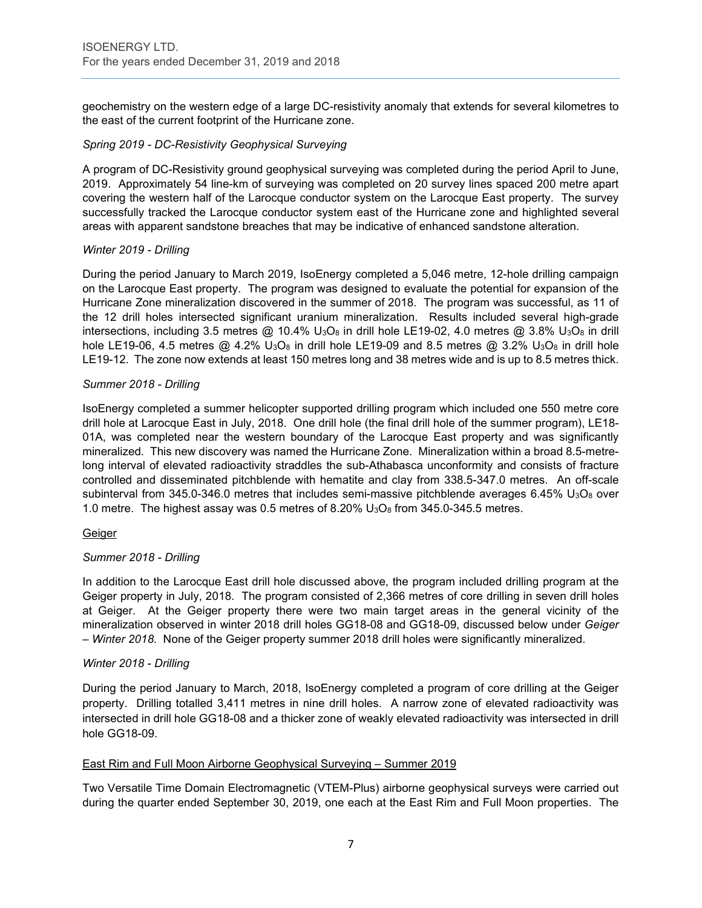geochemistry on the western edge of a large DC-resistivity anomaly that extends for several kilometres to the east of the current footprint of the Hurricane zone.

### *Spring 2019 - DC-Resistivity Geophysical Surveying*

A program of DC-Resistivity ground geophysical surveying was completed during the period April to June, 2019. Approximately 54 line-km of surveying was completed on 20 survey lines spaced 200 metre apart covering the western half of the Larocque conductor system on the Larocque East property. The survey successfully tracked the Larocque conductor system east of the Hurricane zone and highlighted several areas with apparent sandstone breaches that may be indicative of enhanced sandstone alteration.

### *Winter 2019 - Drilling*

During the period January to March 2019, IsoEnergy completed a 5,046 metre, 12-hole drilling campaign on the Larocque East property. The program was designed to evaluate the potential for expansion of the Hurricane Zone mineralization discovered in the summer of 2018. The program was successful, as 11 of the 12 drill holes intersected significant uranium mineralization. Results included several high-grade intersections, including 3.5 metres  $@$  10.4% U<sub>3</sub>O<sub>8</sub> in drill hole LE19-02, 4.0 metres  $@$  3.8% U<sub>3</sub>O<sub>8</sub> in drill hole LE19-06, 4.5 metres  $@$  4.2% U<sub>3</sub>O<sub>8</sub> in drill hole LE19-09 and 8.5 metres  $@$  3.2% U<sub>3</sub>O<sub>8</sub> in drill hole LE19-12. The zone now extends at least 150 metres long and 38 metres wide and is up to 8.5 metres thick.

### *Summer 2018 - Drilling*

IsoEnergy completed a summer helicopter supported drilling program which included one 550 metre core drill hole at Larocque East in July, 2018. One drill hole (the final drill hole of the summer program), LE18- 01A, was completed near the western boundary of the Larocque East property and was significantly mineralized. This new discovery was named the Hurricane Zone. Mineralization within a broad 8.5-metrelong interval of elevated radioactivity straddles the sub-Athabasca unconformity and consists of fracture controlled and disseminated pitchblende with hematite and clay from 338.5-347.0 metres. An off-scale subinterval from 345.0-346.0 metres that includes semi-massive pitchblende averages 6.45%  $U_3O_8$  over 1.0 metre. The highest assay was 0.5 metres of 8.20%  $U_3O_8$  from 345.0-345.5 metres.

#### Geiger

# *Summer 2018 - Drilling*

In addition to the Larocque East drill hole discussed above, the program included drilling program at the Geiger property in July, 2018. The program consisted of 2,366 metres of core drilling in seven drill holes at Geiger. At the Geiger property there were two main target areas in the general vicinity of the mineralization observed in winter 2018 drill holes GG18-08 and GG18-09, discussed below under *Geiger – Winter 2018*. None of the Geiger property summer 2018 drill holes were significantly mineralized.

#### *Winter 2018 - Drilling*

During the period January to March, 2018, IsoEnergy completed a program of core drilling at the Geiger property. Drilling totalled 3,411 metres in nine drill holes. A narrow zone of elevated radioactivity was intersected in drill hole GG18-08 and a thicker zone of weakly elevated radioactivity was intersected in drill hole GG18-09.

#### East Rim and Full Moon Airborne Geophysical Surveying – Summer 2019

Two Versatile Time Domain Electromagnetic (VTEM-Plus) airborne geophysical surveys were carried out during the quarter ended September 30, 2019, one each at the East Rim and Full Moon properties. The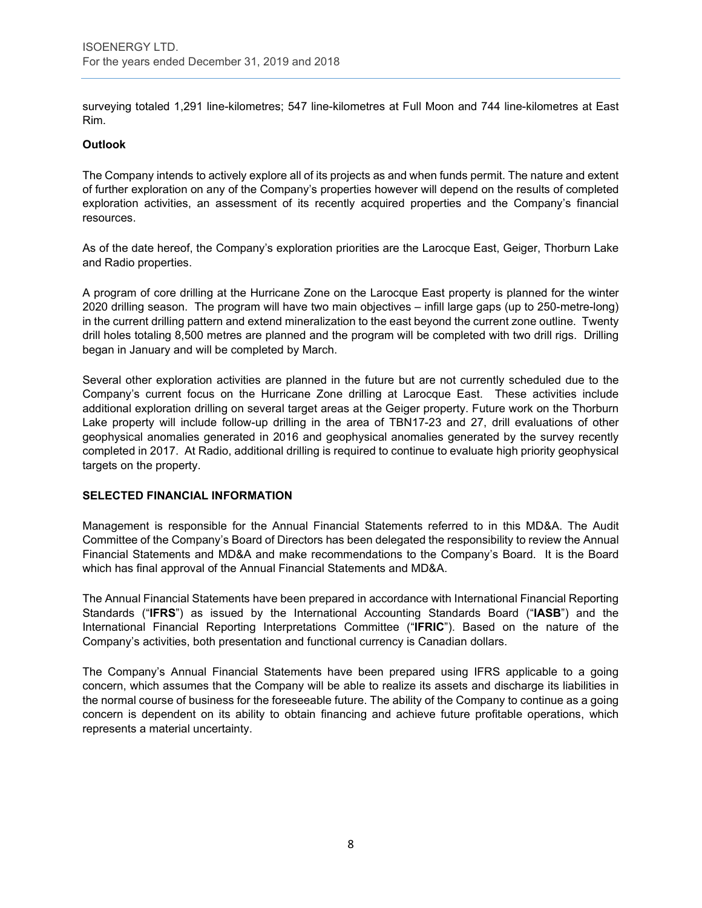surveying totaled 1,291 line-kilometres; 547 line-kilometres at Full Moon and 744 line-kilometres at East Rim.

### **Outlook**

The Company intends to actively explore all of its projects as and when funds permit. The nature and extent of further exploration on any of the Company's properties however will depend on the results of completed exploration activities, an assessment of its recently acquired properties and the Company's financial resources.

As of the date hereof, the Company's exploration priorities are the Larocque East, Geiger, Thorburn Lake and Radio properties.

A program of core drilling at the Hurricane Zone on the Larocque East property is planned for the winter 2020 drilling season. The program will have two main objectives – infill large gaps (up to 250-metre-long) in the current drilling pattern and extend mineralization to the east beyond the current zone outline. Twenty drill holes totaling 8,500 metres are planned and the program will be completed with two drill rigs. Drilling began in January and will be completed by March.

Several other exploration activities are planned in the future but are not currently scheduled due to the Company's current focus on the Hurricane Zone drilling at Larocque East. These activities include additional exploration drilling on several target areas at the Geiger property. Future work on the Thorburn Lake property will include follow-up drilling in the area of TBN17-23 and 27, drill evaluations of other geophysical anomalies generated in 2016 and geophysical anomalies generated by the survey recently completed in 2017. At Radio, additional drilling is required to continue to evaluate high priority geophysical targets on the property.

#### **SELECTED FINANCIAL INFORMATION**

Management is responsible for the Annual Financial Statements referred to in this MD&A. The Audit Committee of the Company's Board of Directors has been delegated the responsibility to review the Annual Financial Statements and MD&A and make recommendations to the Company's Board. It is the Board which has final approval of the Annual Financial Statements and MD&A.

The Annual Financial Statements have been prepared in accordance with International Financial Reporting Standards ("**IFRS**") as issued by the International Accounting Standards Board ("**IASB**") and the International Financial Reporting Interpretations Committee ("**IFRIC**"). Based on the nature of the Company's activities, both presentation and functional currency is Canadian dollars.

The Company's Annual Financial Statements have been prepared using IFRS applicable to a going concern, which assumes that the Company will be able to realize its assets and discharge its liabilities in the normal course of business for the foreseeable future. The ability of the Company to continue as a going concern is dependent on its ability to obtain financing and achieve future profitable operations, which represents a material uncertainty.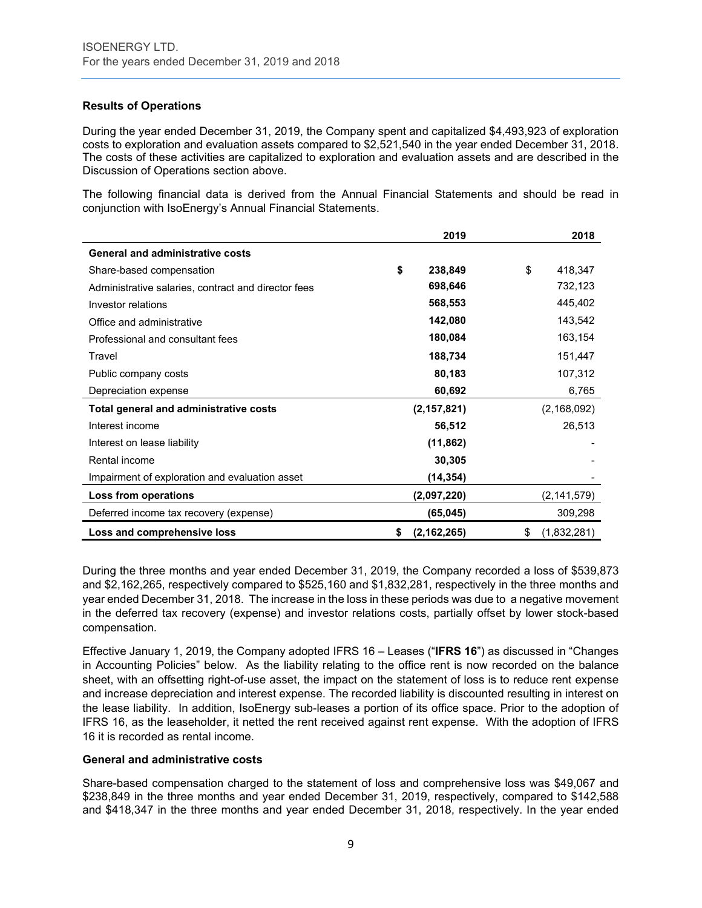# **Results of Operations**

During the year ended December 31, 2019, the Company spent and capitalized \$4,493,923 of exploration costs to exploration and evaluation assets compared to \$2,521,540 in the year ended December 31, 2018. The costs of these activities are capitalized to exploration and evaluation assets and are described in the Discussion of Operations section above.

The following financial data is derived from the Annual Financial Statements and should be read in conjunction with IsoEnergy's Annual Financial Statements.

|                                                     |    | 2019          | 2018              |
|-----------------------------------------------------|----|---------------|-------------------|
| <b>General and administrative costs</b>             |    |               |                   |
| Share-based compensation                            | \$ | 238,849       | \$<br>418,347     |
| Administrative salaries, contract and director fees |    | 698,646       | 732,123           |
| Investor relations                                  |    | 568,553       | 445,402           |
| Office and administrative                           |    | 142,080       | 143,542           |
| Professional and consultant fees                    |    | 180,084       | 163,154           |
| Travel                                              |    | 188,734       | 151,447           |
| Public company costs                                |    | 80,183        | 107,312           |
| Depreciation expense                                |    | 60,692        | 6,765             |
| Total general and administrative costs              |    | (2, 157, 821) | (2, 168, 092)     |
| Interest income                                     |    | 56,512        | 26,513            |
| Interest on lease liability                         |    | (11, 862)     |                   |
| Rental income                                       |    | 30,305        |                   |
| Impairment of exploration and evaluation asset      |    | (14, 354)     |                   |
| Loss from operations                                |    | (2,097,220)   | (2, 141, 579)     |
| Deferred income tax recovery (expense)              |    | (65, 045)     | 309,298           |
| Loss and comprehensive loss                         | S  | (2, 162, 265) | \$<br>(1,832,281) |

During the three months and year ended December 31, 2019, the Company recorded a loss of \$539,873 and \$2,162,265, respectively compared to \$525,160 and \$1,832,281, respectively in the three months and year ended December 31, 2018. The increase in the loss in these periods was due to a negative movement in the deferred tax recovery (expense) and investor relations costs, partially offset by lower stock-based compensation.

Effective January 1, 2019, the Company adopted IFRS 16 – Leases ("**IFRS 16**") as discussed in "Changes in Accounting Policies" below. As the liability relating to the office rent is now recorded on the balance sheet, with an offsetting right-of-use asset, the impact on the statement of loss is to reduce rent expense and increase depreciation and interest expense. The recorded liability is discounted resulting in interest on the lease liability. In addition, IsoEnergy sub-leases a portion of its office space. Prior to the adoption of IFRS 16, as the leaseholder, it netted the rent received against rent expense. With the adoption of IFRS 16 it is recorded as rental income.

#### **General and administrative costs**

Share-based compensation charged to the statement of loss and comprehensive loss was \$49,067 and \$238,849 in the three months and year ended December 31, 2019, respectively, compared to \$142,588 and \$418,347 in the three months and year ended December 31, 2018, respectively. In the year ended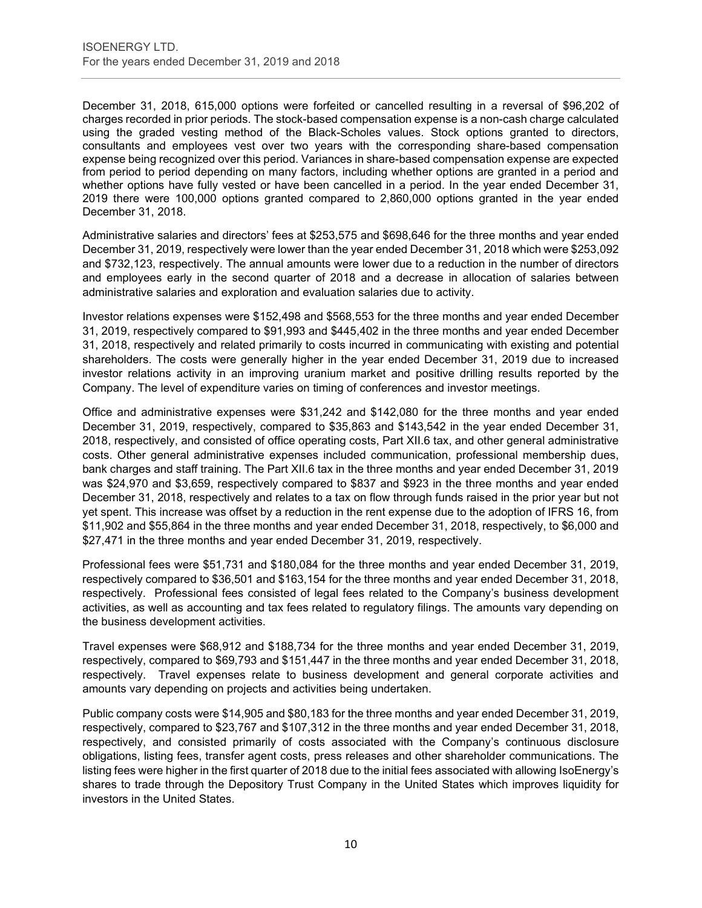December 31, 2018, 615,000 options were forfeited or cancelled resulting in a reversal of \$96,202 of charges recorded in prior periods. The stock-based compensation expense is a non-cash charge calculated using the graded vesting method of the Black-Scholes values. Stock options granted to directors, consultants and employees vest over two years with the corresponding share-based compensation expense being recognized over this period. Variances in share-based compensation expense are expected from period to period depending on many factors, including whether options are granted in a period and whether options have fully vested or have been cancelled in a period. In the year ended December 31, 2019 there were 100,000 options granted compared to 2,860,000 options granted in the year ended December 31, 2018.

Administrative salaries and directors' fees at \$253,575 and \$698,646 for the three months and year ended December 31, 2019, respectively were lower than the year ended December 31, 2018 which were \$253,092 and \$732,123, respectively. The annual amounts were lower due to a reduction in the number of directors and employees early in the second quarter of 2018 and a decrease in allocation of salaries between administrative salaries and exploration and evaluation salaries due to activity.

Investor relations expenses were \$152,498 and \$568,553 for the three months and year ended December 31, 2019, respectively compared to \$91,993 and \$445,402 in the three months and year ended December 31, 2018, respectively and related primarily to costs incurred in communicating with existing and potential shareholders. The costs were generally higher in the year ended December 31, 2019 due to increased investor relations activity in an improving uranium market and positive drilling results reported by the Company. The level of expenditure varies on timing of conferences and investor meetings.

Office and administrative expenses were \$31,242 and \$142,080 for the three months and year ended December 31, 2019, respectively, compared to \$35,863 and \$143,542 in the year ended December 31, 2018, respectively, and consisted of office operating costs, Part XII.6 tax, and other general administrative costs. Other general administrative expenses included communication, professional membership dues, bank charges and staff training. The Part XII.6 tax in the three months and year ended December 31, 2019 was \$24,970 and \$3,659, respectively compared to \$837 and \$923 in the three months and year ended December 31, 2018, respectively and relates to a tax on flow through funds raised in the prior year but not yet spent. This increase was offset by a reduction in the rent expense due to the adoption of IFRS 16, from \$11,902 and \$55,864 in the three months and year ended December 31, 2018, respectively, to \$6,000 and \$27,471 in the three months and year ended December 31, 2019, respectively.

Professional fees were \$51,731 and \$180,084 for the three months and year ended December 31, 2019, respectively compared to \$36,501 and \$163,154 for the three months and year ended December 31, 2018, respectively. Professional fees consisted of legal fees related to the Company's business development activities, as well as accounting and tax fees related to regulatory filings. The amounts vary depending on the business development activities.

Travel expenses were \$68,912 and \$188,734 for the three months and year ended December 31, 2019, respectively, compared to \$69,793 and \$151,447 in the three months and year ended December 31, 2018, respectively. Travel expenses relate to business development and general corporate activities and amounts vary depending on projects and activities being undertaken.

Public company costs were \$14,905 and \$80,183 for the three months and year ended December 31, 2019, respectively, compared to \$23,767 and \$107,312 in the three months and year ended December 31, 2018, respectively, and consisted primarily of costs associated with the Company's continuous disclosure obligations, listing fees, transfer agent costs, press releases and other shareholder communications. The listing fees were higher in the first quarter of 2018 due to the initial fees associated with allowing IsoEnergy's shares to trade through the Depository Trust Company in the United States which improves liquidity for investors in the United States.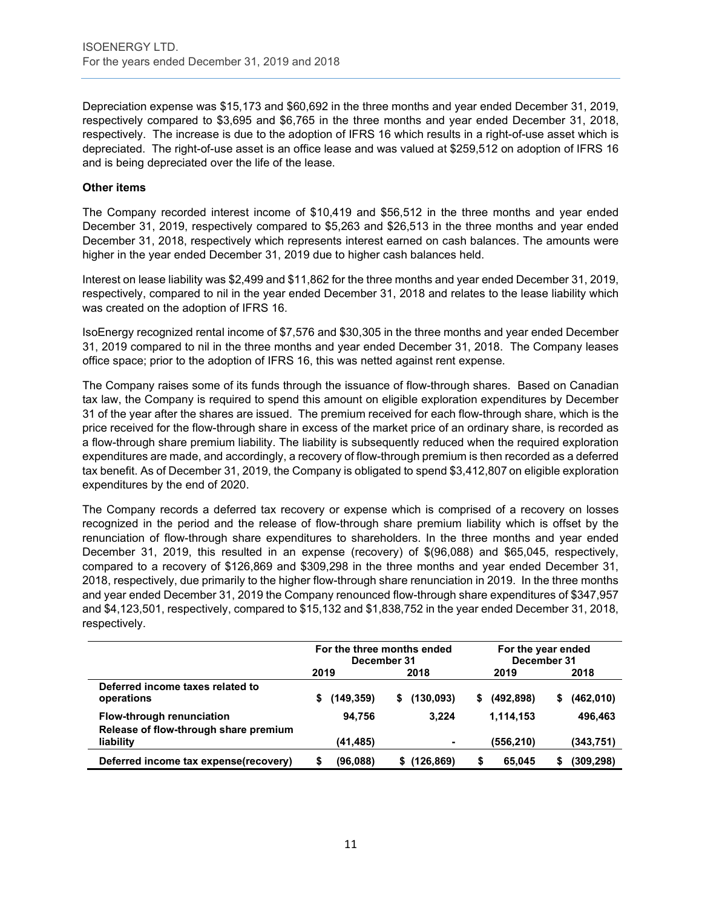Depreciation expense was \$15,173 and \$60,692 in the three months and year ended December 31, 2019, respectively compared to \$3,695 and \$6,765 in the three months and year ended December 31, 2018, respectively. The increase is due to the adoption of IFRS 16 which results in a right-of-use asset which is depreciated. The right-of-use asset is an office lease and was valued at \$259,512 on adoption of IFRS 16 and is being depreciated over the life of the lease.

### **Other items**

The Company recorded interest income of \$10,419 and \$56,512 in the three months and year ended December 31, 2019, respectively compared to \$5,263 and \$26,513 in the three months and year ended December 31, 2018, respectively which represents interest earned on cash balances. The amounts were higher in the year ended December 31, 2019 due to higher cash balances held.

Interest on lease liability was \$2,499 and \$11,862 for the three months and year ended December 31, 2019, respectively, compared to nil in the year ended December 31, 2018 and relates to the lease liability which was created on the adoption of IFRS 16.

IsoEnergy recognized rental income of \$7,576 and \$30,305 in the three months and year ended December 31, 2019 compared to nil in the three months and year ended December 31, 2018. The Company leases office space; prior to the adoption of IFRS 16, this was netted against rent expense.

The Company raises some of its funds through the issuance of flow-through shares. Based on Canadian tax law, the Company is required to spend this amount on eligible exploration expenditures by December 31 of the year after the shares are issued. The premium received for each flow-through share, which is the price received for the flow-through share in excess of the market price of an ordinary share, is recorded as a flow-through share premium liability. The liability is subsequently reduced when the required exploration expenditures are made, and accordingly, a recovery of flow-through premium is then recorded as a deferred tax benefit. As of December 31, 2019, the Company is obligated to spend \$3,412,807 on eligible exploration expenditures by the end of 2020.

The Company records a deferred tax recovery or expense which is comprised of a recovery on losses recognized in the period and the release of flow-through share premium liability which is offset by the renunciation of flow-through share expenditures to shareholders. In the three months and year ended December 31, 2019, this resulted in an expense (recovery) of \$(96,088) and \$65,045, respectively, compared to a recovery of \$126,869 and \$309,298 in the three months and year ended December 31, 2018, respectively, due primarily to the higher flow-through share renunciation in 2019. In the three months and year ended December 31, 2019 the Company renounced flow-through share expenditures of \$347,957 and \$4,123,501, respectively, compared to \$15,132 and \$1,838,752 in the year ended December 31, 2018, respectively.

|                                                                    |      | For the three months ended<br>December 31 |   |            | For the year ended<br>December 31 |            |    |            |
|--------------------------------------------------------------------|------|-------------------------------------------|---|------------|-----------------------------------|------------|----|------------|
|                                                                    | 2019 |                                           |   | 2018       |                                   | 2019       |    | 2018       |
| Deferred income taxes related to<br>operations                     | \$   | (149.359)                                 | S | (130, 093) | S                                 | (492, 898) | \$ | (462,010)  |
| Flow-through renunciation<br>Release of flow-through share premium |      | 94.756                                    |   | 3.224      |                                   | 1,114,153  |    | 496.463    |
| liability                                                          |      | (41, 485)                                 |   |            |                                   | (556,210)  |    | (343,751)  |
| Deferred income tax expense(recovery)                              |      | (96,088)                                  |   | (126,869)  |                                   | 65.045     |    | (309, 298) |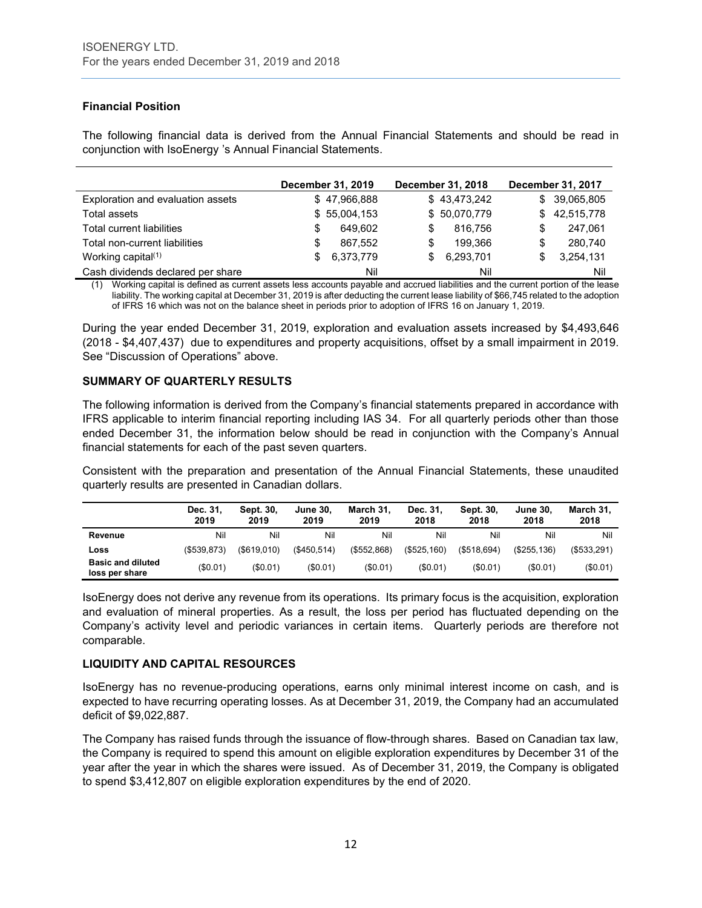# **Financial Position**

The following financial data is derived from the Annual Financial Statements and should be read in conjunction with IsoEnergy 's Annual Financial Statements.

|                                   |   | December 31, 2019 |   | December 31, 2018 |     | December 31, 2017 |
|-----------------------------------|---|-------------------|---|-------------------|-----|-------------------|
| Exploration and evaluation assets |   | \$47,966,888      |   | \$43,473,242      |     | \$ 39,065,805     |
| Total assets                      |   | \$55,004,153      |   | \$50,070,779      | SS. | 42,515,778        |
| Total current liabilities         | S | 649.602           | S | 816.756           | S   | 247,061           |
| Total non-current liabilities     | S | 867.552           | S | 199.366           | \$  | 280.740           |
| Working capital <sup>(1)</sup>    |   | 6,373,779         |   | 6,293,701         | \$  | 3,254,131         |
| Cash dividends declared per share |   | Nil               |   | Nil               |     | Nil               |

Working capital is defined as current assets less accounts payable and accrued liabilities and the current portion of the lease liability. The working capital at December 31, 2019 is after deducting the current lease liability of \$66,745 related to the adoption of IFRS 16 which was not on the balance sheet in periods prior to adoption of IFRS 16 on January 1, 2019.

During the year ended December 31, 2019, exploration and evaluation assets increased by \$4,493,646 (2018 - \$4,407,437) due to expenditures and property acquisitions, offset by a small impairment in 2019. See "Discussion of Operations" above.

# **SUMMARY OF QUARTERLY RESULTS**

The following information is derived from the Company's financial statements prepared in accordance with IFRS applicable to interim financial reporting including IAS 34. For all quarterly periods other than those ended December 31, the information below should be read in conjunction with the Company's Annual financial statements for each of the past seven quarters.

Consistent with the preparation and presentation of the Annual Financial Statements, these unaudited quarterly results are presented in Canadian dollars.

|                                            | Dec. 31,<br>2019 | Sept. 30.<br>2019 | <b>June 30,</b><br>2019 | March 31.<br>2019 | Dec. 31.<br>2018 | Sept. 30,<br>2018 | June 30<br>2018 | March 31,<br>2018 |
|--------------------------------------------|------------------|-------------------|-------------------------|-------------------|------------------|-------------------|-----------------|-------------------|
| Revenue                                    | Nil              | Nil               | Nil                     | Nil               | Nil              | Nil               | Nil             | Nil               |
| Loss                                       | $($ \$539.873)   | (S619.010)        | $($ \$450.514 $)$       | $($ \$552,868)    | (\$525,160)      | (S518.694)        | (S255.136)      | $($ \$533.291)    |
| <b>Basic and diluted</b><br>loss per share | (\$0.01)         | (S0.01)           | (\$0.01)                | (\$0.01)          | (\$0.01)         | (\$0.01)          | (\$0.01)        | (\$0.01)          |

IsoEnergy does not derive any revenue from its operations. Its primary focus is the acquisition, exploration and evaluation of mineral properties. As a result, the loss per period has fluctuated depending on the Company's activity level and periodic variances in certain items. Quarterly periods are therefore not comparable.

# **LIQUIDITY AND CAPITAL RESOURCES**

IsoEnergy has no revenue-producing operations, earns only minimal interest income on cash, and is expected to have recurring operating losses. As at December 31, 2019, the Company had an accumulated deficit of \$9,022,887.

The Company has raised funds through the issuance of flow-through shares. Based on Canadian tax law, the Company is required to spend this amount on eligible exploration expenditures by December 31 of the year after the year in which the shares were issued. As of December 31, 2019, the Company is obligated to spend \$3,412,807 on eligible exploration expenditures by the end of 2020.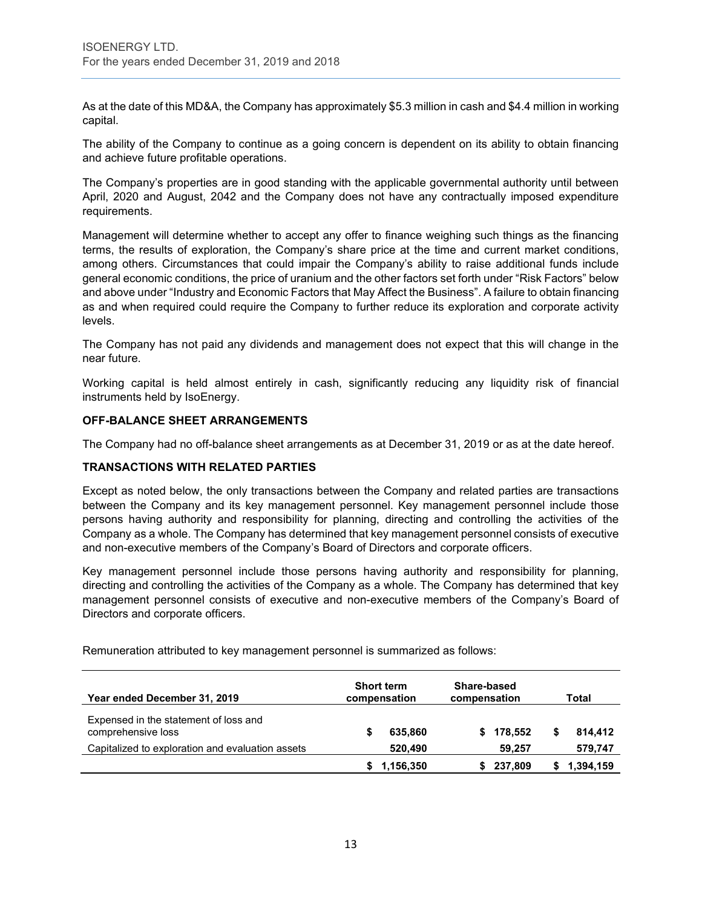As at the date of this MD&A, the Company has approximately \$5.3 million in cash and \$4.4 million in working capital.

The ability of the Company to continue as a going concern is dependent on its ability to obtain financing and achieve future profitable operations.

The Company's properties are in good standing with the applicable governmental authority until between April, 2020 and August, 2042 and the Company does not have any contractually imposed expenditure requirements.

Management will determine whether to accept any offer to finance weighing such things as the financing terms, the results of exploration, the Company's share price at the time and current market conditions, among others. Circumstances that could impair the Company's ability to raise additional funds include general economic conditions, the price of uranium and the other factors set forth under "Risk Factors" below and above under "Industry and Economic Factors that May Affect the Business". A failure to obtain financing as and when required could require the Company to further reduce its exploration and corporate activity levels.

The Company has not paid any dividends and management does not expect that this will change in the near future.

Working capital is held almost entirely in cash, significantly reducing any liquidity risk of financial instruments held by IsoEnergy.

### **OFF-BALANCE SHEET ARRANGEMENTS**

The Company had no off-balance sheet arrangements as at December 31, 2019 or as at the date hereof.

# **TRANSACTIONS WITH RELATED PARTIES**

Except as noted below, the only transactions between the Company and related parties are transactions between the Company and its key management personnel. Key management personnel include those persons having authority and responsibility for planning, directing and controlling the activities of the Company as a whole. The Company has determined that key management personnel consists of executive and non-executive members of the Company's Board of Directors and corporate officers.

Key management personnel include those persons having authority and responsibility for planning, directing and controlling the activities of the Company as a whole. The Company has determined that key management personnel consists of executive and non-executive members of the Company's Board of Directors and corporate officers.

| Year ended December 31, 2019                                | <b>Short term</b><br>compensation | Share-based<br>compensation |           | Total     |
|-------------------------------------------------------------|-----------------------------------|-----------------------------|-----------|-----------|
| Expensed in the statement of loss and<br>comprehensive loss | 635,860                           |                             | \$178.552 | 814,412   |
| Capitalized to exploration and evaluation assets            | 520,490                           |                             | 59.257    | 579,747   |
|                                                             | 1,156,350                         |                             | 237,809   | 1,394,159 |

Remuneration attributed to key management personnel is summarized as follows: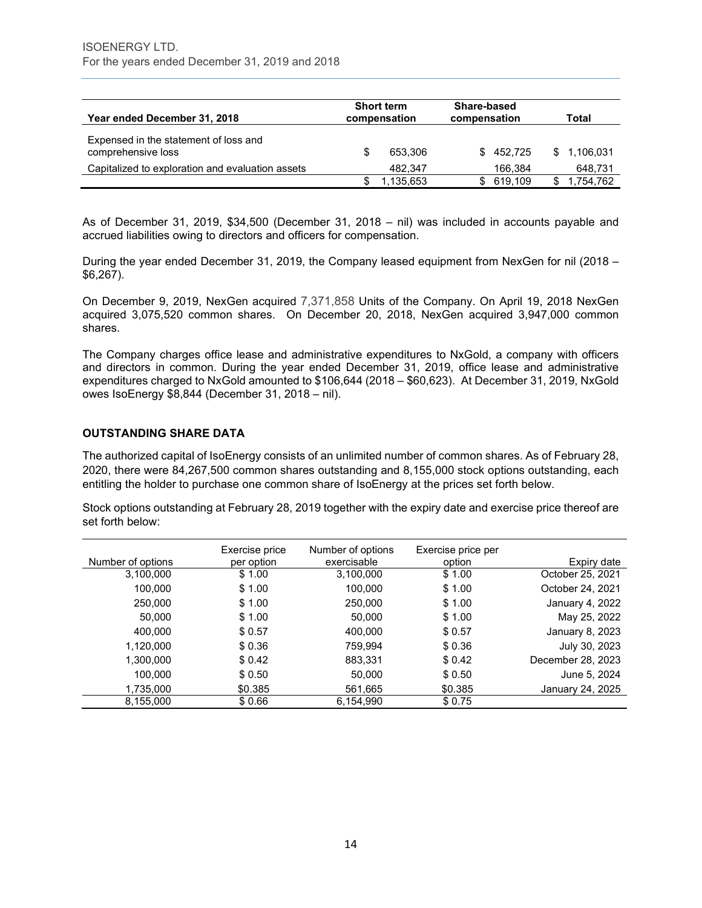| Year ended December 31, 2018                                | <b>Short term</b><br>compensation | Share-based<br>compensation |           | Total       |
|-------------------------------------------------------------|-----------------------------------|-----------------------------|-----------|-------------|
| Expensed in the statement of loss and<br>comprehensive loss | 653.306                           |                             | \$452.725 | \$1.106.031 |
| Capitalized to exploration and evaluation assets            | 482.347                           |                             | 166.384   | 648,731     |
|                                                             | 1.135.653                         | \$.                         | 619.109   | 1.754.762   |

As of December 31, 2019, \$34,500 (December 31, 2018 – nil) was included in accounts payable and accrued liabilities owing to directors and officers for compensation.

During the year ended December 31, 2019, the Company leased equipment from NexGen for nil (2018 – \$6,267).

On December 9, 2019, NexGen acquired 7,371,858 Units of the Company. On April 19, 2018 NexGen acquired 3,075,520 common shares. On December 20, 2018, NexGen acquired 3,947,000 common shares.

The Company charges office lease and administrative expenditures to NxGold, a company with officers and directors in common. During the year ended December 31, 2019, office lease and administrative expenditures charged to NxGold amounted to \$106,644 (2018 – \$60,623). At December 31, 2019, NxGold owes IsoEnergy \$8,844 (December 31, 2018 – nil).

### **OUTSTANDING SHARE DATA**

The authorized capital of IsoEnergy consists of an unlimited number of common shares. As of February 28, 2020, there were 84,267,500 common shares outstanding and 8,155,000 stock options outstanding, each entitling the holder to purchase one common share of IsoEnergy at the prices set forth below.

Stock options outstanding at February 28, 2019 together with the expiry date and exercise price thereof are set forth below:

|                   | Exercise price | Number of options | Exercise price per |                   |
|-------------------|----------------|-------------------|--------------------|-------------------|
| Number of options | per option     | exercisable       | option             | Expiry date       |
| 3,100,000         | \$1.00         | 3,100,000         | \$1.00             | October 25, 2021  |
| 100,000           | \$1.00         | 100,000           | \$1.00             | October 24, 2021  |
| 250,000           | \$1.00         | 250,000           | \$1.00             | January 4, 2022   |
| 50,000            | \$1.00         | 50,000            | \$1.00             | May 25, 2022      |
| 400,000           | \$0.57         | 400,000           | \$0.57             | January 8, 2023   |
| 1,120,000         | \$0.36         | 759,994           | \$0.36             | July 30, 2023     |
| 1,300,000         | \$0.42         | 883,331           | \$0.42             | December 28, 2023 |
| 100,000           | \$0.50         | 50,000            | \$ 0.50            | June 5, 2024      |
| 1,735,000         | \$0.385        | 561,665           | \$0.385            | January 24, 2025  |
| 8,155,000         | \$0.66         | 6,154,990         | \$0.75             |                   |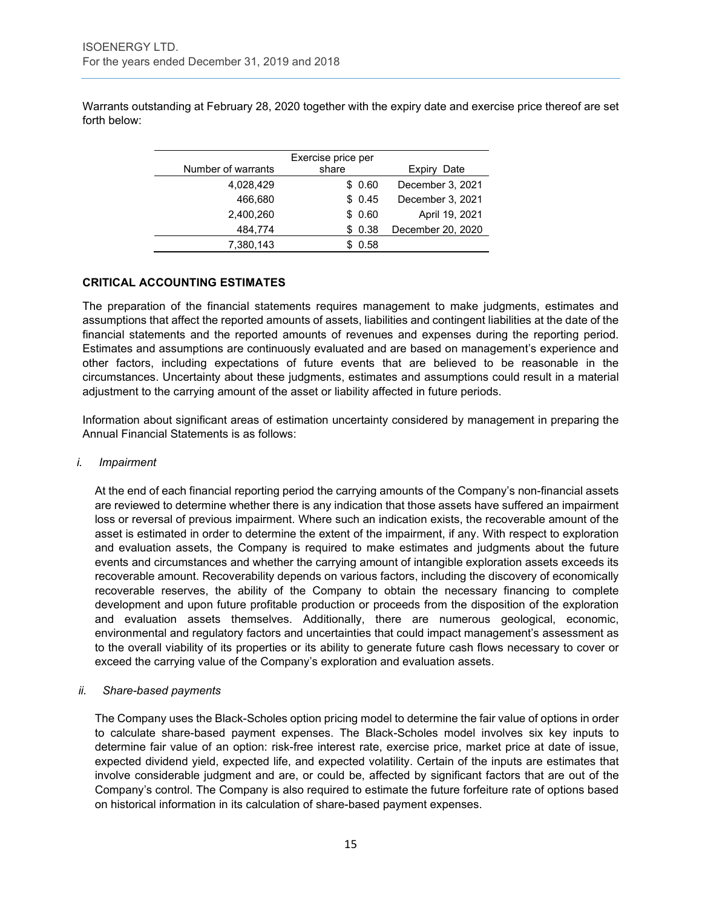Warrants outstanding at February 28, 2020 together with the expiry date and exercise price thereof are set forth below:

|                    | Exercise price per |                   |
|--------------------|--------------------|-------------------|
| Number of warrants | share              | Date<br>Expiry    |
| 4,028,429          | \$0.60             | December 3, 2021  |
| 466,680            | \$0.45             | December 3, 2021  |
| 2,400,260          | \$0.60             | April 19, 2021    |
| 484,774            | \$0.38             | December 20, 2020 |
| 7,380,143          | 0.58               |                   |

### **CRITICAL ACCOUNTING ESTIMATES**

The preparation of the financial statements requires management to make judgments, estimates and assumptions that affect the reported amounts of assets, liabilities and contingent liabilities at the date of the financial statements and the reported amounts of revenues and expenses during the reporting period. Estimates and assumptions are continuously evaluated and are based on management's experience and other factors, including expectations of future events that are believed to be reasonable in the circumstances. Uncertainty about these judgments, estimates and assumptions could result in a material adjustment to the carrying amount of the asset or liability affected in future periods.

Information about significant areas of estimation uncertainty considered by management in preparing the Annual Financial Statements is as follows:

#### *i. Impairment*

At the end of each financial reporting period the carrying amounts of the Company's non-financial assets are reviewed to determine whether there is any indication that those assets have suffered an impairment loss or reversal of previous impairment. Where such an indication exists, the recoverable amount of the asset is estimated in order to determine the extent of the impairment, if any. With respect to exploration and evaluation assets, the Company is required to make estimates and judgments about the future events and circumstances and whether the carrying amount of intangible exploration assets exceeds its recoverable amount. Recoverability depends on various factors, including the discovery of economically recoverable reserves, the ability of the Company to obtain the necessary financing to complete development and upon future profitable production or proceeds from the disposition of the exploration and evaluation assets themselves. Additionally, there are numerous geological, economic, environmental and regulatory factors and uncertainties that could impact management's assessment as to the overall viability of its properties or its ability to generate future cash flows necessary to cover or exceed the carrying value of the Company's exploration and evaluation assets.

# *ii. Share-based payments*

The Company uses the Black-Scholes option pricing model to determine the fair value of options in order to calculate share-based payment expenses. The Black-Scholes model involves six key inputs to determine fair value of an option: risk-free interest rate, exercise price, market price at date of issue, expected dividend yield, expected life, and expected volatility. Certain of the inputs are estimates that involve considerable judgment and are, or could be, affected by significant factors that are out of the Company's control. The Company is also required to estimate the future forfeiture rate of options based on historical information in its calculation of share-based payment expenses.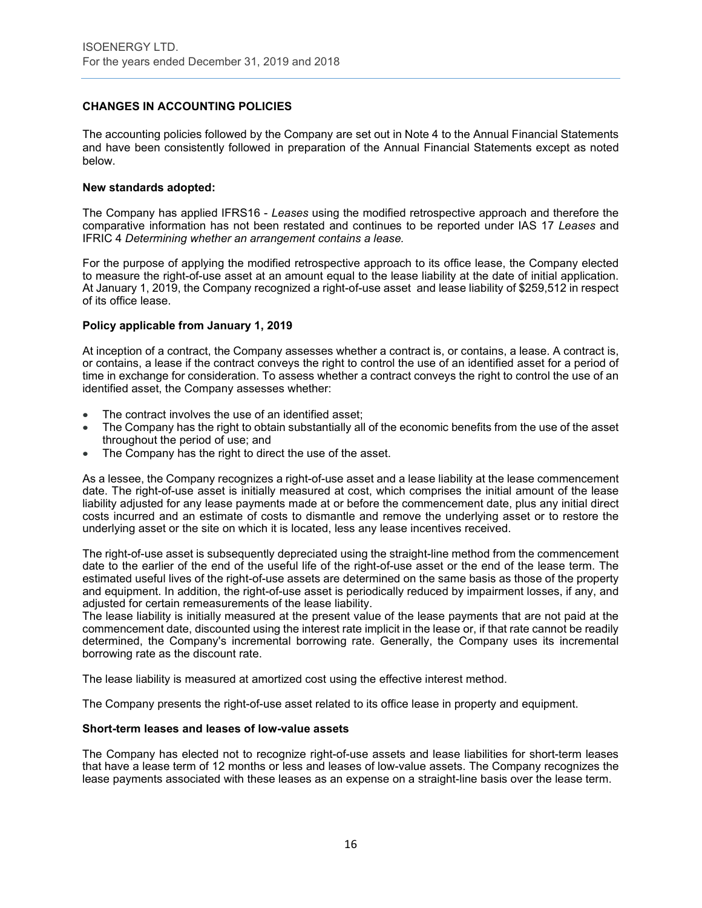# **CHANGES IN ACCOUNTING POLICIES**

The accounting policies followed by the Company are set out in Note 4 to the Annual Financial Statements and have been consistently followed in preparation of the Annual Financial Statements except as noted below.

#### **New standards adopted:**

The Company has applied IFRS16 - *Leases* using the modified retrospective approach and therefore the comparative information has not been restated and continues to be reported under IAS 17 *Leases* and IFRIC 4 *Determining whether an arrangement contains a lease.*

For the purpose of applying the modified retrospective approach to its office lease, the Company elected to measure the right-of-use asset at an amount equal to the lease liability at the date of initial application. At January 1, 2019, the Company recognized a right-of-use asset and lease liability of \$259,512 in respect of its office lease.

#### **Policy applicable from January 1, 2019**

At inception of a contract, the Company assesses whether a contract is, or contains, a lease. A contract is, or contains, a lease if the contract conveys the right to control the use of an identified asset for a period of time in exchange for consideration. To assess whether a contract conveys the right to control the use of an identified asset, the Company assesses whether:

- The contract involves the use of an identified asset;
- The Company has the right to obtain substantially all of the economic benefits from the use of the asset throughout the period of use; and
- The Company has the right to direct the use of the asset.

As a lessee, the Company recognizes a right-of-use asset and a lease liability at the lease commencement date. The right-of-use asset is initially measured at cost, which comprises the initial amount of the lease liability adjusted for any lease payments made at or before the commencement date, plus any initial direct costs incurred and an estimate of costs to dismantle and remove the underlying asset or to restore the underlying asset or the site on which it is located, less any lease incentives received.

The right-of-use asset is subsequently depreciated using the straight-line method from the commencement date to the earlier of the end of the useful life of the right-of-use asset or the end of the lease term. The estimated useful lives of the right-of-use assets are determined on the same basis as those of the property and equipment. In addition, the right-of-use asset is periodically reduced by impairment losses, if any, and adjusted for certain remeasurements of the lease liability.

The lease liability is initially measured at the present value of the lease payments that are not paid at the commencement date, discounted using the interest rate implicit in the lease or, if that rate cannot be readily determined, the Company's incremental borrowing rate. Generally, the Company uses its incremental borrowing rate as the discount rate.

The lease liability is measured at amortized cost using the effective interest method.

The Company presents the right-of-use asset related to its office lease in property and equipment.

#### **Short-term leases and leases of low-value assets**

The Company has elected not to recognize right-of-use assets and lease liabilities for short-term leases that have a lease term of 12 months or less and leases of low-value assets. The Company recognizes the lease payments associated with these leases as an expense on a straight-line basis over the lease term.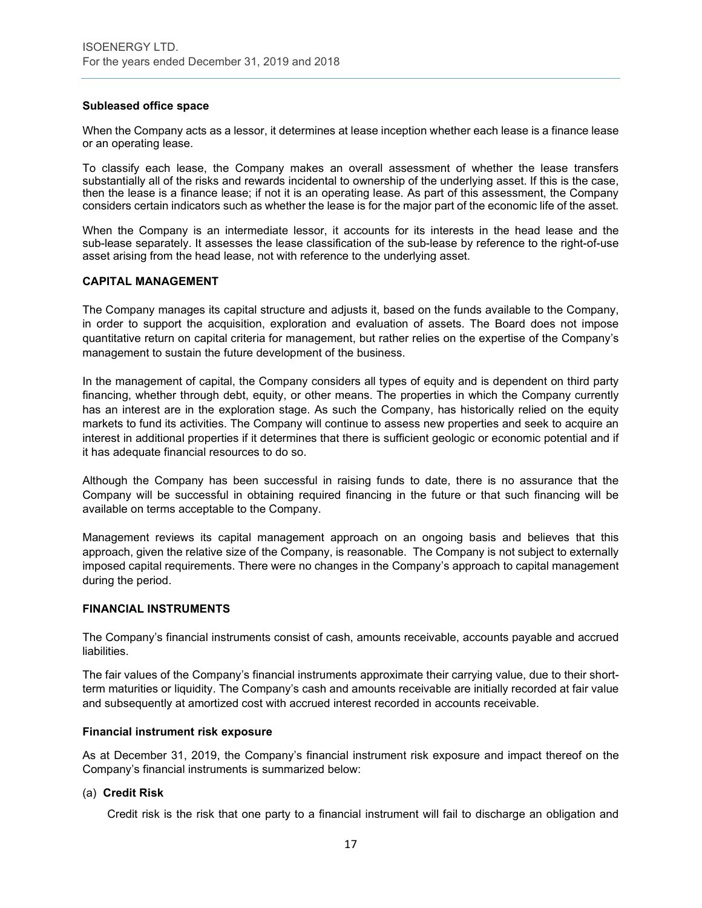#### **Subleased office space**

When the Company acts as a lessor, it determines at lease inception whether each lease is a finance lease or an operating lease.

To classify each lease, the Company makes an overall assessment of whether the lease transfers substantially all of the risks and rewards incidental to ownership of the underlying asset. If this is the case, then the lease is a finance lease; if not it is an operating lease. As part of this assessment, the Company considers certain indicators such as whether the lease is for the major part of the economic life of the asset.

When the Company is an intermediate lessor, it accounts for its interests in the head lease and the sub-lease separately. It assesses the lease classification of the sub-lease by reference to the right-of-use asset arising from the head lease, not with reference to the underlying asset.

### **CAPITAL MANAGEMENT**

The Company manages its capital structure and adjusts it, based on the funds available to the Company, in order to support the acquisition, exploration and evaluation of assets. The Board does not impose quantitative return on capital criteria for management, but rather relies on the expertise of the Company's management to sustain the future development of the business.

In the management of capital, the Company considers all types of equity and is dependent on third party financing, whether through debt, equity, or other means. The properties in which the Company currently has an interest are in the exploration stage. As such the Company, has historically relied on the equity markets to fund its activities. The Company will continue to assess new properties and seek to acquire an interest in additional properties if it determines that there is sufficient geologic or economic potential and if it has adequate financial resources to do so.

Although the Company has been successful in raising funds to date, there is no assurance that the Company will be successful in obtaining required financing in the future or that such financing will be available on terms acceptable to the Company.

Management reviews its capital management approach on an ongoing basis and believes that this approach, given the relative size of the Company, is reasonable. The Company is not subject to externally imposed capital requirements. There were no changes in the Company's approach to capital management during the period.

#### **FINANCIAL INSTRUMENTS**

The Company's financial instruments consist of cash, amounts receivable, accounts payable and accrued liabilities.

The fair values of the Company's financial instruments approximate their carrying value, due to their shortterm maturities or liquidity. The Company's cash and amounts receivable are initially recorded at fair value and subsequently at amortized cost with accrued interest recorded in accounts receivable.

#### **Financial instrument risk exposure**

As at December 31, 2019, the Company's financial instrument risk exposure and impact thereof on the Company's financial instruments is summarized below:

#### (a) **Credit Risk**

Credit risk is the risk that one party to a financial instrument will fail to discharge an obligation and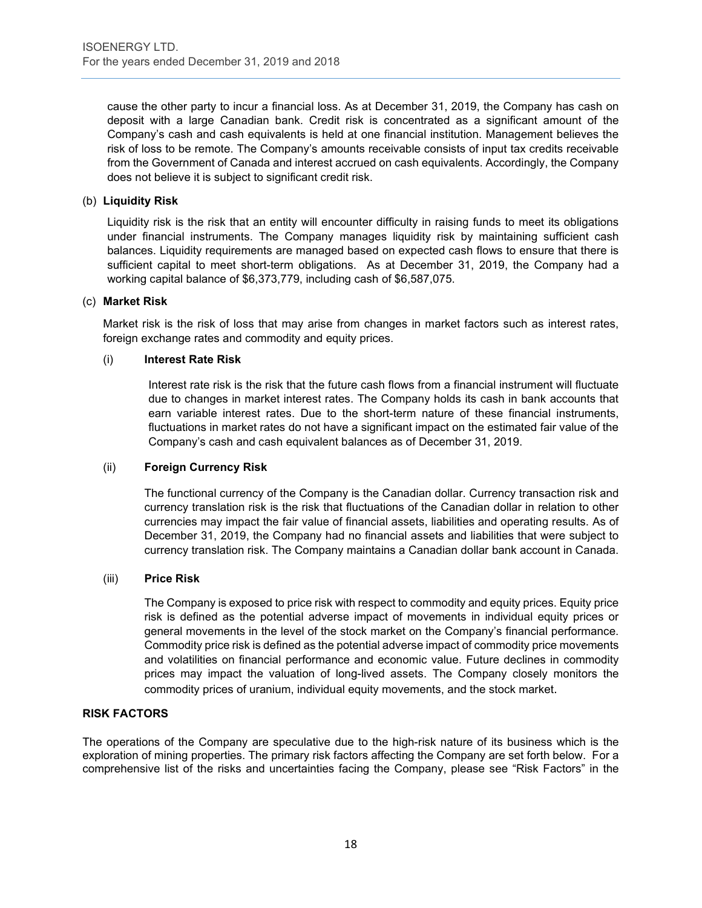cause the other party to incur a financial loss. As at December 31, 2019, the Company has cash on deposit with a large Canadian bank. Credit risk is concentrated as a significant amount of the Company's cash and cash equivalents is held at one financial institution. Management believes the risk of loss to be remote. The Company's amounts receivable consists of input tax credits receivable from the Government of Canada and interest accrued on cash equivalents. Accordingly, the Company does not believe it is subject to significant credit risk.

#### (b) **Liquidity Risk**

Liquidity risk is the risk that an entity will encounter difficulty in raising funds to meet its obligations under financial instruments. The Company manages liquidity risk by maintaining sufficient cash balances. Liquidity requirements are managed based on expected cash flows to ensure that there is sufficient capital to meet short-term obligations. As at December 31, 2019, the Company had a working capital balance of \$6,373,779, including cash of \$6,587,075.

#### (c) **Market Risk**

Market risk is the risk of loss that may arise from changes in market factors such as interest rates, foreign exchange rates and commodity and equity prices.

### (i) **Interest Rate Risk**

Interest rate risk is the risk that the future cash flows from a financial instrument will fluctuate due to changes in market interest rates. The Company holds its cash in bank accounts that earn variable interest rates. Due to the short-term nature of these financial instruments, fluctuations in market rates do not have a significant impact on the estimated fair value of the Company's cash and cash equivalent balances as of December 31, 2019.

#### (ii) **Foreign Currency Risk**

The functional currency of the Company is the Canadian dollar. Currency transaction risk and currency translation risk is the risk that fluctuations of the Canadian dollar in relation to other currencies may impact the fair value of financial assets, liabilities and operating results. As of December 31, 2019, the Company had no financial assets and liabilities that were subject to currency translation risk. The Company maintains a Canadian dollar bank account in Canada.

#### (iii) **Price Risk**

The Company is exposed to price risk with respect to commodity and equity prices. Equity price risk is defined as the potential adverse impact of movements in individual equity prices or general movements in the level of the stock market on the Company's financial performance. Commodity price risk is defined as the potential adverse impact of commodity price movements and volatilities on financial performance and economic value. Future declines in commodity prices may impact the valuation of long-lived assets. The Company closely monitors the commodity prices of uranium, individual equity movements, and the stock market.

#### **RISK FACTORS**

The operations of the Company are speculative due to the high-risk nature of its business which is the exploration of mining properties. The primary risk factors affecting the Company are set forth below. For a comprehensive list of the risks and uncertainties facing the Company, please see "Risk Factors" in the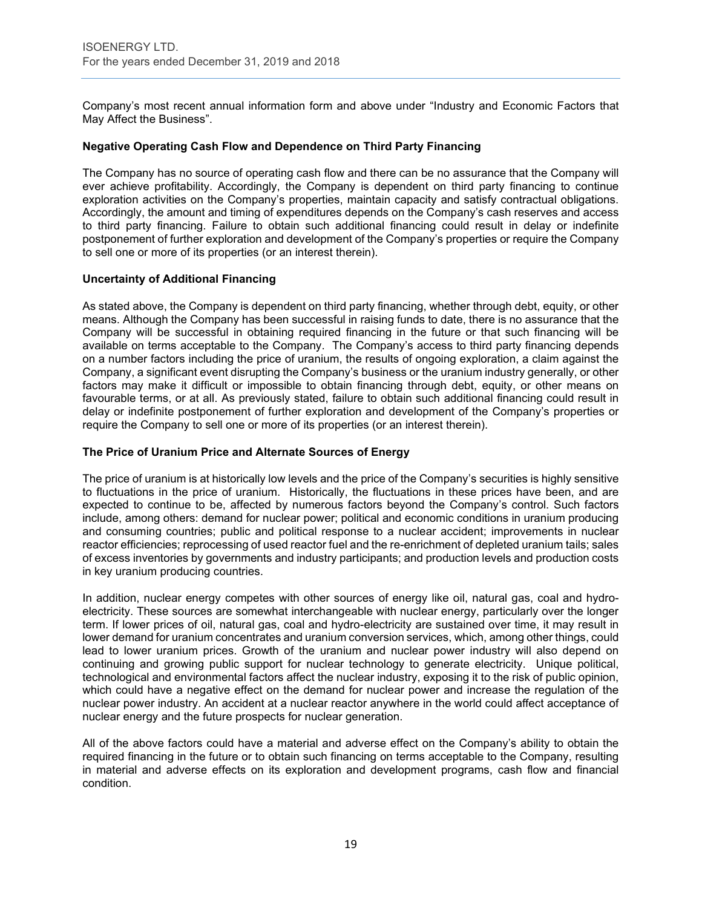Company's most recent annual information form and above under "Industry and Economic Factors that May Affect the Business".

#### **Negative Operating Cash Flow and Dependence on Third Party Financing**

The Company has no source of operating cash flow and there can be no assurance that the Company will ever achieve profitability. Accordingly, the Company is dependent on third party financing to continue exploration activities on the Company's properties, maintain capacity and satisfy contractual obligations. Accordingly, the amount and timing of expenditures depends on the Company's cash reserves and access to third party financing. Failure to obtain such additional financing could result in delay or indefinite postponement of further exploration and development of the Company's properties or require the Company to sell one or more of its properties (or an interest therein).

### **Uncertainty of Additional Financing**

As stated above, the Company is dependent on third party financing, whether through debt, equity, or other means. Although the Company has been successful in raising funds to date, there is no assurance that the Company will be successful in obtaining required financing in the future or that such financing will be available on terms acceptable to the Company. The Company's access to third party financing depends on a number factors including the price of uranium, the results of ongoing exploration, a claim against the Company, a significant event disrupting the Company's business or the uranium industry generally, or other factors may make it difficult or impossible to obtain financing through debt, equity, or other means on favourable terms, or at all. As previously stated, failure to obtain such additional financing could result in delay or indefinite postponement of further exploration and development of the Company's properties or require the Company to sell one or more of its properties (or an interest therein).

### **The Price of Uranium Price and Alternate Sources of Energy**

The price of uranium is at historically low levels and the price of the Company's securities is highly sensitive to fluctuations in the price of uranium. Historically, the fluctuations in these prices have been, and are expected to continue to be, affected by numerous factors beyond the Company's control. Such factors include, among others: demand for nuclear power; political and economic conditions in uranium producing and consuming countries; public and political response to a nuclear accident; improvements in nuclear reactor efficiencies; reprocessing of used reactor fuel and the re-enrichment of depleted uranium tails; sales of excess inventories by governments and industry participants; and production levels and production costs in key uranium producing countries.

In addition, nuclear energy competes with other sources of energy like oil, natural gas, coal and hydroelectricity. These sources are somewhat interchangeable with nuclear energy, particularly over the longer term. If lower prices of oil, natural gas, coal and hydro-electricity are sustained over time, it may result in lower demand for uranium concentrates and uranium conversion services, which, among other things, could lead to lower uranium prices. Growth of the uranium and nuclear power industry will also depend on continuing and growing public support for nuclear technology to generate electricity. Unique political, technological and environmental factors affect the nuclear industry, exposing it to the risk of public opinion, which could have a negative effect on the demand for nuclear power and increase the regulation of the nuclear power industry. An accident at a nuclear reactor anywhere in the world could affect acceptance of nuclear energy and the future prospects for nuclear generation.

All of the above factors could have a material and adverse effect on the Company's ability to obtain the required financing in the future or to obtain such financing on terms acceptable to the Company, resulting in material and adverse effects on its exploration and development programs, cash flow and financial condition.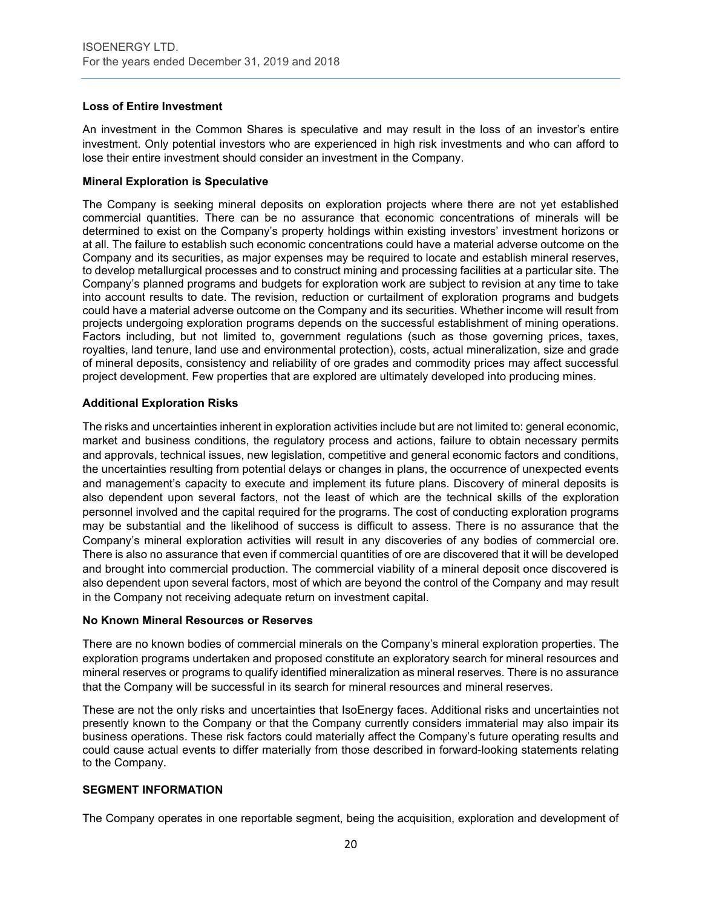### **Loss of Entire Investment**

An investment in the Common Shares is speculative and may result in the loss of an investor's entire investment. Only potential investors who are experienced in high risk investments and who can afford to lose their entire investment should consider an investment in the Company.

### **Mineral Exploration is Speculative**

The Company is seeking mineral deposits on exploration projects where there are not yet established commercial quantities. There can be no assurance that economic concentrations of minerals will be determined to exist on the Company's property holdings within existing investors' investment horizons or at all. The failure to establish such economic concentrations could have a material adverse outcome on the Company and its securities, as major expenses may be required to locate and establish mineral reserves, to develop metallurgical processes and to construct mining and processing facilities at a particular site. The Company's planned programs and budgets for exploration work are subject to revision at any time to take into account results to date. The revision, reduction or curtailment of exploration programs and budgets could have a material adverse outcome on the Company and its securities. Whether income will result from projects undergoing exploration programs depends on the successful establishment of mining operations. Factors including, but not limited to, government regulations (such as those governing prices, taxes, royalties, land tenure, land use and environmental protection), costs, actual mineralization, size and grade of mineral deposits, consistency and reliability of ore grades and commodity prices may affect successful project development. Few properties that are explored are ultimately developed into producing mines.

# **Additional Exploration Risks**

The risks and uncertainties inherent in exploration activities include but are not limited to: general economic, market and business conditions, the regulatory process and actions, failure to obtain necessary permits and approvals, technical issues, new legislation, competitive and general economic factors and conditions, the uncertainties resulting from potential delays or changes in plans, the occurrence of unexpected events and management's capacity to execute and implement its future plans. Discovery of mineral deposits is also dependent upon several factors, not the least of which are the technical skills of the exploration personnel involved and the capital required for the programs. The cost of conducting exploration programs may be substantial and the likelihood of success is difficult to assess. There is no assurance that the Company's mineral exploration activities will result in any discoveries of any bodies of commercial ore. There is also no assurance that even if commercial quantities of ore are discovered that it will be developed and brought into commercial production. The commercial viability of a mineral deposit once discovered is also dependent upon several factors, most of which are beyond the control of the Company and may result in the Company not receiving adequate return on investment capital.

#### **No Known Mineral Resources or Reserves**

There are no known bodies of commercial minerals on the Company's mineral exploration properties. The exploration programs undertaken and proposed constitute an exploratory search for mineral resources and mineral reserves or programs to qualify identified mineralization as mineral reserves. There is no assurance that the Company will be successful in its search for mineral resources and mineral reserves.

These are not the only risks and uncertainties that IsoEnergy faces. Additional risks and uncertainties not presently known to the Company or that the Company currently considers immaterial may also impair its business operations. These risk factors could materially affect the Company's future operating results and could cause actual events to differ materially from those described in forward-looking statements relating to the Company.

# **SEGMENT INFORMATION**

The Company operates in one reportable segment, being the acquisition, exploration and development of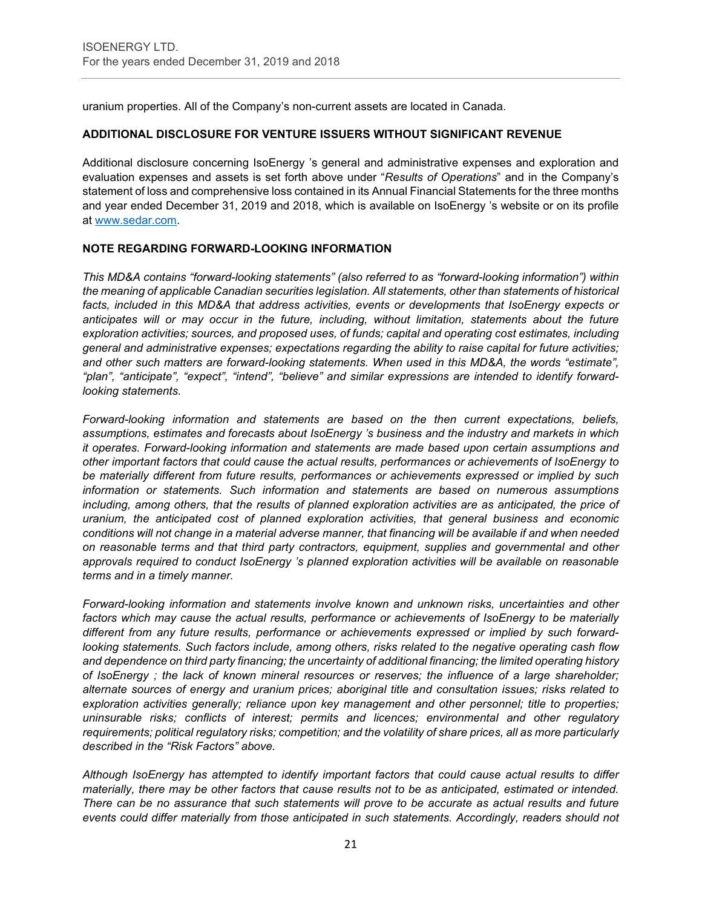uranium properties. All of the Company's non-current assets are located in Canada.

# **ADDITIONAL DISCLOSURE FOR VENTURE ISSUERS WITHOUT SIGNIFICANT REVENUE**

Additional disclosure concerning IsoEnergy 's general and administrative expenses and exploration and evaluation expenses and assets is set forth above under "*Results of Operations*" and in the Company's statement of loss and comprehensive loss contained in its Annual Financial Statements for the three months and year ended December 31, 2019 and 2018, which is available on IsoEnergy 's website or on its profile at [www.sedar.com.](http://www.sedar.com/)

# **NOTE REGARDING FORWARD-LOOKING INFORMATION**

*This MD&A contains "forward-looking statements" (also referred to as "forward-looking information") within the meaning of applicable Canadian securities legislation. All statements, other than statements of historical facts, included in this MD&A that address activities, events or developments that IsoEnergy expects or anticipates will or may occur in the future, including, without limitation, statements about the future exploration activities; sources, and proposed uses, of funds; capital and operating cost estimates, including general and administrative expenses; expectations regarding the ability to raise capital for future activities; and other such matters are forward-looking statements. When used in this MD&A, the words "estimate", "plan", "anticipate", "expect", "intend", "believe" and similar expressions are intended to identify forwardlooking statements.* 

*Forward-looking information and statements are based on the then current expectations, beliefs, assumptions, estimates and forecasts about IsoEnergy 's business and the industry and markets in which it operates. Forward-looking information and statements are made based upon certain assumptions and other important factors that could cause the actual results, performances or achievements of IsoEnergy to be materially different from future results, performances or achievements expressed or implied by such information or statements. Such information and statements are based on numerous assumptions including, among others, that the results of planned exploration activities are as anticipated, the price of uranium, the anticipated cost of planned exploration activities, that general business and economic conditions will not change in a material adverse manner, that financing will be available if and when needed on reasonable terms and that third party contractors, equipment, supplies and governmental and other approvals required to conduct IsoEnergy 's planned exploration activities will be available on reasonable terms and in a timely manner.* 

*Forward-looking information and statements involve known and unknown risks, uncertainties and other factors which may cause the actual results, performance or achievements of IsoEnergy to be materially different from any future results, performance or achievements expressed or implied by such forwardlooking statements. Such factors include, among others, risks related to the negative operating cash flow and dependence on third party financing; the uncertainty of additional financing; the limited operating history of IsoEnergy ; the lack of known mineral resources or reserves; the influence of a large shareholder; alternate sources of energy and uranium prices; aboriginal title and consultation issues; risks related to exploration activities generally; reliance upon key management and other personnel; title to properties; uninsurable risks; conflicts of interest; permits and licences; environmental and other regulatory requirements; political regulatory risks; competition; and the volatility of share prices, all as more particularly described in the "Risk Factors" above.* 

*Although IsoEnergy has attempted to identify important factors that could cause actual results to differ materially, there may be other factors that cause results not to be as anticipated, estimated or intended. There can be no assurance that such statements will prove to be accurate as actual results and future events could differ materially from those anticipated in such statements. Accordingly, readers should not*